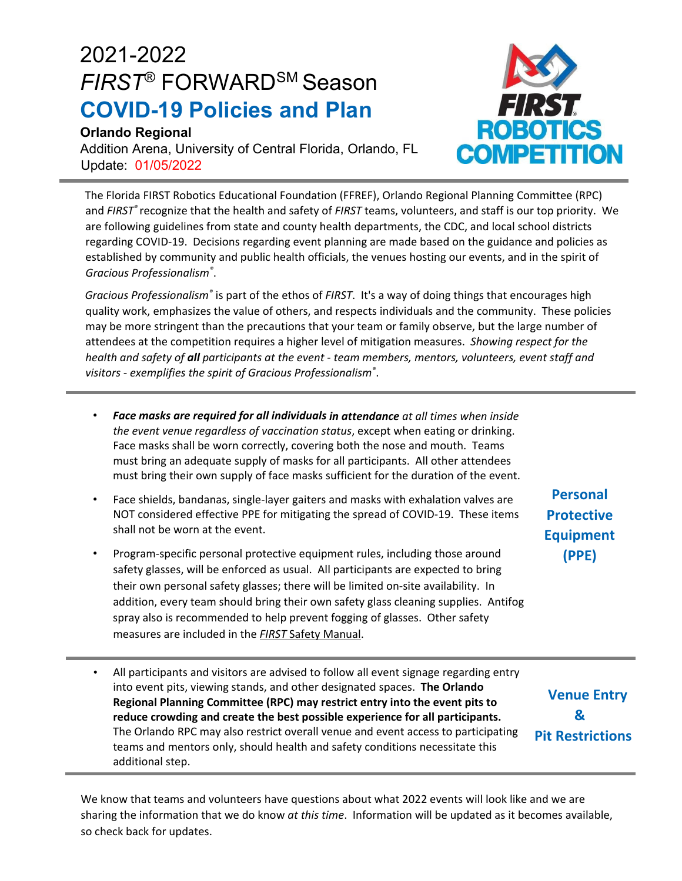## 2021-2022 *FIRST*® FORWARDSM Season **COVID-19 Policies and Plan**

## **Orlando Regional**

Addition Arena, University of Central Florida, Orlando, FL Update: 01/05/2022

The Florida FIRST Robotics Educational Foundation (FFREF), Orlando Regional Planning Committee (RPC) and *FIRST®* recognize that the health and safety of *FIRST* teams, volunteers, and staff is our top priority. We are following guidelines from state and county health departments, the CDC, and local school districts regarding COVID‐19. Decisions regarding event planning are made based on the guidance and policies as established by community and public health officials, the venues hosting our events, and in the spirit of *Gracious Professionalism®* .

*Gracious Professionalism®* is part of the ethos of *FIRST*. It's a way of doing things that encourages high quality work, emphasizes the value of others, and respects individuals and the community. These policies may be more stringent than the precautions that your team or family observe, but the large number of attendees at the competition requires a higher level of mitigation measures. *Showing respect for the health and safety of all participants at the event ‐ team members, mentors, volunteers, event staff and visitors ‐ exemplifies the spirit of Gracious Professionalism®* .

- *Face masks are required for all individuals in attendance at all times when inside the event venue regardless of vaccination status*, except when eating or drinking. Face masks shall be worn correctly, covering both the nose and mouth. Teams must bring an adequate supply of masks for all participants. All other attendees must bring their own supply of face masks sufficient for the duration of the event.
- Face shields, bandanas, single‐layer gaiters and masks with exhalation valves are NOT considered effective PPE for mitigating the spread of COVID‐19. These items shall not be worn at the event.
- Program‐specific personal protective equipment rules, including those around safety glasses, will be enforced as usual. All participants are expected to bring their own personal safety glasses; there will be limited on‐site availability. In addition, every team should bring their own safety glass cleaning supplies. Antifog spray also is recommended to help prevent fogging of glasses. Other safety measures are included in the *FIRST* Safety Manual.
- All participants and visitors are advised to follow all event signage regarding entry into event pits, viewing stands, and other designated spaces. **The Orlando Regional Planning Committee (RPC) may restrict entry into the event pits to reduce crowding and create the best possible experience for all participants.** The Orlando RPC may also restrict overall venue and event access to participating teams and mentors only, should health and safety conditions necessitate this additional step.

**Venue Entry & Pit Restrictions**

We know that teams and volunteers have questions about what 2022 events will look like and we are sharing the information that we do know *at this time*. Information will be updated as it becomes available, so check back for updates.



**Personal Protective Equipment (PPE)**